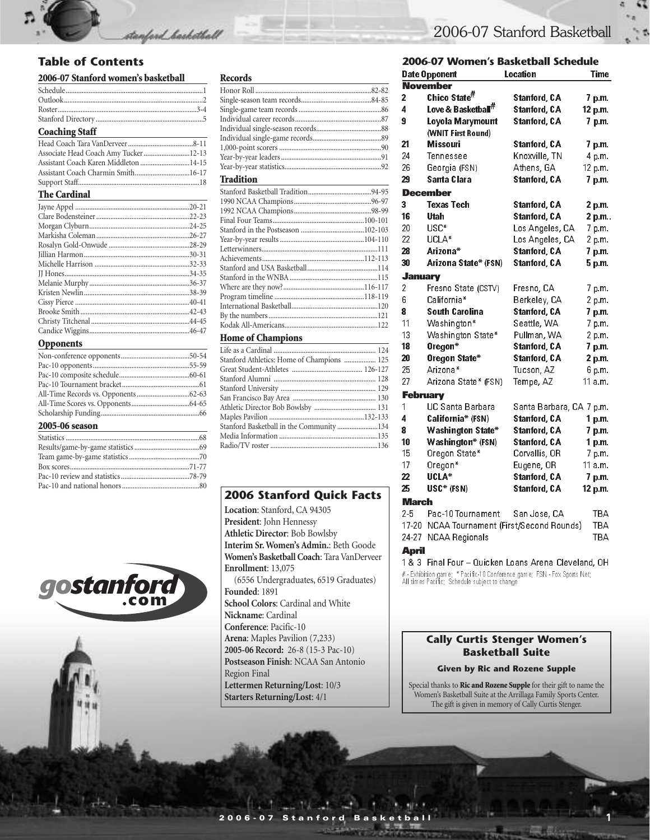#### **Table of Contents**

#### **2006-07 Stanford women's basketball**

| <b>Coaching Staff</b> | the control of the control of the control of the control of the control of |
|-----------------------|----------------------------------------------------------------------------|

stanford\_barketball

| Associate Head Coach Amy Tucker 12-13 |  |
|---------------------------------------|--|
| Assistant Coach Karen Middleton 14-15 |  |
| Assistant Coach Charmin Smith16-17    |  |
|                                       |  |

#### **The Cardinal**

| $.24 - 25$ |
|------------|
| $.26 - 27$ |
| .28-29     |
|            |
|            |
| $.34 - 35$ |
|            |
|            |
|            |
|            |
|            |
|            |
|            |

#### **Opponents**

#### **2005-06 season**





#### **Home of Champions**

| Stanford Athletics: Home of Champions  125 |  |
|--------------------------------------------|--|
|                                            |  |
|                                            |  |
|                                            |  |
|                                            |  |
|                                            |  |
|                                            |  |
| Stanford Basketball in the Community 134   |  |
|                                            |  |
|                                            |  |

#### **2006 Stanford Quick Facts**

**Location**: Stanford, CA 94305 **President**: John Hennessy **Athletic Director**: Bob Bowlsby **Interim Sr. Women's Admin.**: Beth Goode **Women's Basketball Coach**: Tara VanDerveer **Enrollment**: 13,075 (6556 Undergraduates, 6519 Graduates) **Founded**: 1891 **School Colors**: Cardinal and White **Nickname**: Cardinal **Conference**: Pacific-10 **Arena**: Maples Pavilion (7,233) **2005-06 Record:** 26-8 (15-3 Pac-10) **Postseason Finish**: NCAA San Antonio Region Final **Lettermen Returning/Lost**: 10/3

**Starters Returning/Lost**: 4/1

#### 2006-07 Stanford Basketball

#### **2006-07 Women's Basketball Schedule**

| Location<br>Time<br><b>Date Opponent</b> |                                |                                       |                   |  |  |
|------------------------------------------|--------------------------------|---------------------------------------|-------------------|--|--|
|                                          | November                       |                                       |                   |  |  |
| 2                                        | Chico State <sup>#</sup>       | <b>Stanford, CA</b>                   | 7 p.m.            |  |  |
| 4                                        | Love & Basketball <sup>#</sup> | <b>Stanford, CA</b>                   | 12 p.m.           |  |  |
| 9                                        | Loyola Marymount               | <b>Stanford, CA</b>                   | 7 p.m.            |  |  |
|                                          | (WNIT First Round)             |                                       |                   |  |  |
| 21                                       | Missouri                       | <b>Stanford, CA</b>                   | 7 p.m.            |  |  |
| 24                                       | Tennessee                      | Knoxville, TN                         | 4 p.m.            |  |  |
| 26                                       | Georgia (FSN)                  | Athens, GA                            | 12 p.m.           |  |  |
| 29                                       | Santa Clara                    | <b>Stanford, CA</b>                   | 7 p.m.            |  |  |
|                                          | December                       |                                       |                   |  |  |
| 3                                        | <b>Texas Tech</b>              | <b>Stanford, CA</b>                   | 2 p.m.            |  |  |
| 16                                       | Utah                           | <b>Stanford, CA</b>                   | 2 p.m.            |  |  |
| 20                                       | USC*                           | Los Angeles, CA                       | 7 p.m.            |  |  |
| 22                                       | UCLA*                          | Los Angeles, CA                       | 2 p.m.            |  |  |
| 28                                       | Arizona*                       | <b>Stanford, CA</b>                   | 7 p.m.            |  |  |
| 30                                       | Arizona State* (FSN)           | <b>Stanford, CA</b>                   | 5 p.m.            |  |  |
| <b>January</b>                           |                                |                                       |                   |  |  |
| $\overline{c}$                           | Fresno State (CSTV)            | Fresno, CA                            | 7 p.m.            |  |  |
| 6                                        | California*                    | Berkeley, CA                          | 2 p.m.            |  |  |
| 8                                        | <b>South Carolina</b>          | <b>Stanford, CA</b>                   | 7 p.m.            |  |  |
| 11                                       | Washington*                    | Seattle, WA                           | 7 p.m.            |  |  |
| 13                                       | Washington State*              | Pullman, WA                           | 2 p.m.            |  |  |
| 18                                       | Oregon <sup>*</sup>            | <b>Stanford, CA</b>                   | $7p$ m            |  |  |
| 20                                       | Oregon State*                  | <b>Stanford, CA</b>                   | 2 p.m.            |  |  |
| 25                                       | Arizona*                       | Tucson, AZ                            | 6 p.m.            |  |  |
| 27                                       | Arizona State* (FSN)           | Tempe, AZ                             | 11a.m.            |  |  |
| <b>February</b>                          |                                |                                       |                   |  |  |
| 1                                        | UC Santa Barbara               | Santa Barbara, CA 7 p.m.              |                   |  |  |
| 4                                        | California* (FSN)              | <b>Stanford, CA</b>                   | 1 p.m.            |  |  |
| 8                                        | <b>Washington State*</b>       | <b>Stanford, CA</b>                   | 7 p.m.            |  |  |
| 10                                       | <b>Washington* (FSN)</b>       | <b>Stanford, CA</b>                   | 1 <sub>p.m.</sub> |  |  |
| 15                                       | Oregon State*                  | Corvallis, OR                         | 7 p.m.            |  |  |
| 17                                       | Oregon*                        | Eugene, OR                            | 11 a.m.           |  |  |
| 22                                       | UCLA*                          | <b>Stanford, CA</b>                   | 7 p.m.            |  |  |
| 25                                       | USC* (FSN)                     | <b>Stanford, CA</b>                   | 12 p.m.           |  |  |
| <b>March</b>                             |                                |                                       |                   |  |  |
| 25                                       | Pac-10 Tournament              | San Jose, CA                          | TBA               |  |  |
| $17 - 20$                                |                                | NCAA Tournament (First/Second Rounds) | TBA               |  |  |
| 24 27                                    | <b>NCAA Regionals</b>          |                                       | TBA               |  |  |

#### **April**

1 & 3 Final Four - Quicken Loans Arena Cleveland, OH # - Exhibition game; \* Pacific-10 Conference game; FSN - Fox Sports Net; All times Pacific; Schedule subject to change

#### **Cally Curtis Stenger Women's Basketball Suite**

#### **Given by Ric and Rozene Supple**

Special thanks to **Ric and Rozene Supple** for their gift to name the Women's Basketball Suite at the Arrillaga Family Sports Center. The gift is given in memory of Cally Curtis Stenger.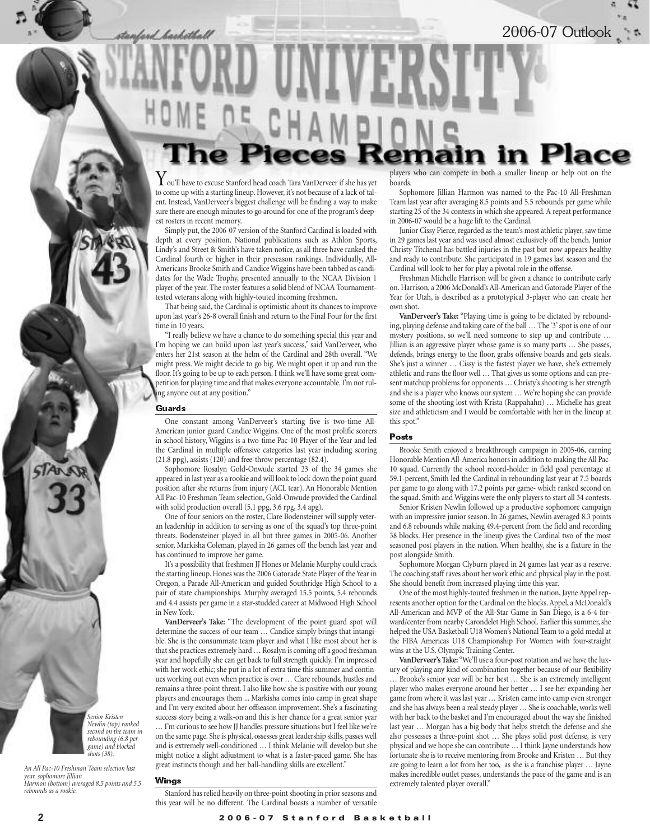stanford haskotball

2006-07 Outlook

# players who can compete in both a smaller lineup or help out on the

 $\boldsymbol{Y}$ ou'll have to excuse Stanford head coach Tara VanDerveer if she has yet to come up with a starting lineup. However, it's not because of a lack of talent. Instead, VanDerveer's biggest challenge will be finding a way to make sure there are enough minutes to go around for one of the program's deepest rosters in recent memory.

Simply put, the 2006-07 version of the Stanford Cardinal is loaded with depth at every position. National publications such as Athlon Sports, Lindy's and Street & Smith's have taken notice, as all three have ranked the Cardinal fourth or higher in their preseason rankings. Individually, All-Americans Brooke Smith and Candice Wiggins have been tabbed as candidates for the Wade Trophy, presented annually to the NCAA Division 1 player of the year. The roster features a solid blend of NCAA Tournamenttested veterans along with highly-touted incoming freshmen.

That being said, the Cardinal is optimistic about its chances to improve upon last year's 26-8 overall finish and return to the Final Four for the first time in 10 years.

"I really believe we have a chance to do something special this year and I'm hoping we can build upon last year's success," said VanDerveer, who enters her 21st season at the helm of the Cardinal and 28th overall. "We might press. We might decide to go big. We might open it up and run the floor. It's going to be up to each person. I think we'll have some great competition for playing time and that makes everyone accountable. I'm not ruling anyone out at any position."

#### Guards

One constant among VanDerveer's starting five is two-time All-American junior guard Candice Wiggins. One of the most prolific scorers in school history, Wiggins is a two-time Pac-10 Player of the Year and led the Cardinal in multiple offensive categories last year including scoring (21.8 ppg), assists (120) and free-throw percentage (82.4).

Sophomore Rosalyn Gold-Onwude started 23 of the 34 games she appeared in last year as a rookie and will look to lock down the point guard position after she returns from injury (ACL tear). An Honorable Mention All Pac-10 Freshman Team selection, Gold-Onwude provided the Cardinal with solid production overall (5.1 ppg, 3.6 rpg, 3.4 apg).

One of four seniors on the roster, Clare Bodensteiner will supply veteran leadership in addition to serving as one of the squad's top three-point threats. Bodensteiner played in all but three games in 2005-06. Another senior, Markisha Coleman, played in 26 games off the bench last year and has continued to improve her game.

It's a possibility that freshmen JJ Hones or Melanie Murphy could crack the starting lineup. Hones was the 2006 Gatorade State Player of the Year in Oregon, a Parade All-American and guided Southridge High School to a pair of state championships. Murphy averaged 15.5 points, 5.4 rebounds and 4.4 assists per game in a star-studded career at Midwood High School in New York.

**VanDerveer's Take:** "The development of the point guard spot will determine the success of our team … Candice simply brings that intangible. She is the consummate team player and what I like most about her is that she practices extremely hard … Rosalyn is coming off a good freshman year and hopefully she can get back to full strength quickly. I'm impressed with her work ethic; she put in a lot of extra time this summer and continues working out even when practice is over … Clare rebounds, hustles and remains a three-point threat. I also like how she is positive with our young players and encourages them ... Markisha comes into camp in great shape and I'm very excited about her offseason improvement. She's a fascinating success story being a walk-on and this is her chance for a great senior year … I'm curious to see how JJ handles pressure situations but I feel like we're on the same page. She is physical, ossesses great leadership skills, passes well and is extremely well-conditioned … I think Melanie will develop but she might notice a slight adjustment to what is a faster-paced game. She has great instincts though and her ball-handling skills are excellent."

Wings

*Senior Kristen Newlin (top) ranked second on the team in rebounding (6.8 per game) and blocked shots (38).*

*An All Pac-10 Freshman Team selection last*

*Harmon (bottom) averaged 8.5 points and 5.5*

Stanford has relied heavily on three-point shooting in prior seasons and this year will be no different. The Cardinal boasts a number of versatile

**boards** 

Sophomore Jillian Harmon was named to the Pac-10 All-Freshman Team last year after averaging 8.5 points and 5.5 rebounds per game while starting 25 of the 34 contests in which she appeared. A repeat performance in 2006-07 would be a huge lift to the Cardinal.

Junior Cissy Pierce, regarded as the team's most athletic player, saw time in 29 games last year and was used almost exclusively off the bench. Junior Christy Titchenal has battled injuries in the past but now appears healthy and ready to contribute. She participated in 19 games last season and the Cardinal will look to her for play a pivotal role in the offense.

Freshman Michelle Harrison will be given a chance to contribute early on. Harrison, a 2006 McDonald's All-American and Gatorade Player of the Year for Utah, is described as a prototypical 3-player who can create her own shot.

**VanDerveer's Take:** "Playing time is going to be dictated by rebounding, playing defense and taking care of the ball … The '3' spot is one of our mystery positions, so we'll need someone to step up and contribute … Jillian is an aggressive player whose game is so many parts … She passes, defends, brings energy to the floor, grabs offensive boards and gets steals. She's just a winner … Cissy is the fastest player we have, she's extremely athletic and runs the floor well … That gives us some options and can present matchup problems for opponents … Christy's shooting is her strength and she is a player who knows our system … We're hoping she can provide some of the shooting lost with Krista (Rappahahn) … Michelle has great size and athleticism and I would be comfortable with her in the lineup at this spot."

#### Posts

Brooke Smith enjoyed a breakthrough campaign in 2005-06, earning Honorable Mention All-America honors in addition to making the All Pac-10 squad. Currently the school record-holder in field goal percentage at 59.1-percent, Smith led the Cardinal in rebounding last year at 7.5 boards per game to go along with 17.2 points per game- which ranked second on the squad. Smith and Wiggins were the only players to start all 34 contests.

Senior Kristen Newlin followed up a productive sophomore campaign with an impressive junior season. In 26 games, Newlin averaged 8.3 points and 6.8 rebounds while making 49.4-percent from the field and recording 38 blocks. Her presence in the lineup gives the Cardinal two of the most seasoned post players in the nation. When healthy, she is a fixture in the post alongside Smith.

Sophomore Morgan Clyburn played in 24 games last year as a reserve. The coaching staff raves about her work ethic and physical play in the post. She should benefit from increased playing time this year.

One of the most highly-touted freshmen in the nation, Jayne Appel represents another option for the Cardinal on the blocks. Appel, a McDonald's All-American and MVP of the All-Star Game in San Diego, is a 6-4 forward/center from nearby Carondelet High School. Earlier this summer, she helped the USA Basketball U18 Women's National Team to a gold medal at the FIBA Americas U18 Championship For Women with four-straight wins at the U.S. Olympic Training Center.

**VanDerveer's Take:** "We'll use a four-post rotation and we have the luxury of playing any kind of combination together because of our flexibility … Brooke's senior year will be her best … She is an extremely intelligent player who makes everyone around her better … I see her expanding her game from where it was last year … Kristen came into camp even stronger and she has always been a real steady player … She is coachable, works well with her back to the basket and I'm encouraged about the way she finished last year … Morgan has a big body that helps stretch the defense and she also possesses a three-point shot … She plays solid post defense, is very physical and we hope she can contribute … I think Jayne understands how fortunate she is to receive mentoring from Brooke and Kristen … But they are going to learn a lot from her too, as she is a franchise player … Jayne makes incredible outlet passes, understands the pace of the game and is an extremely talented player overall."

*year, sophomore Jillian* 

*rebounds as a rookie.*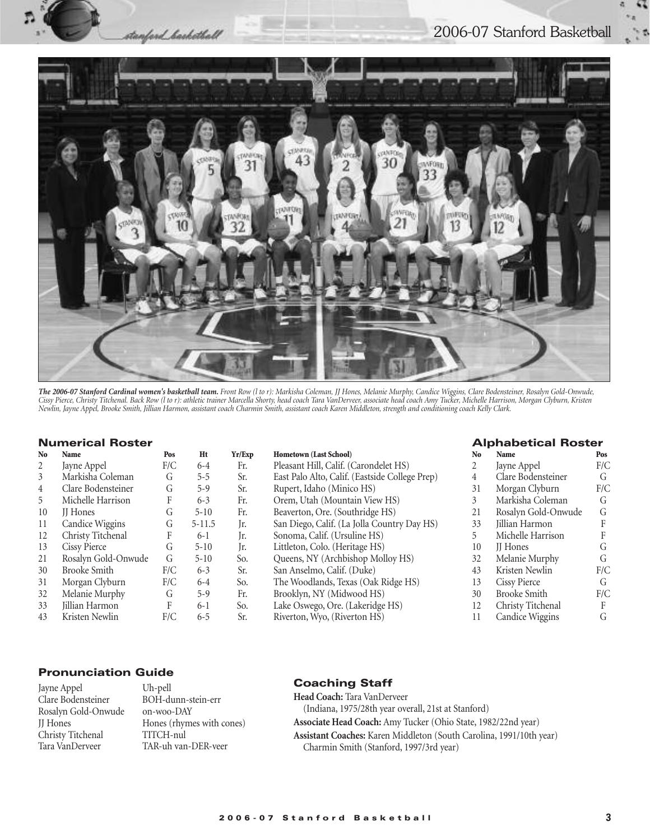#### 2006-07 Stanford Basketball



*The 2006-07 Stanford Cardinal women's basketball team. Front Row (l to r): Markisha Coleman, JJ Hones, Melanie Murphy, Candice Wiggins, Clare Bodensteiner, Rosalyn Gold-Onwude, Cissy Pierce, Christy Titchenal. Back Row (l to r): athletic trainer Marcella Shorty, head coach Tara VanDerveer, associate head coach Amy Tucker, Michelle Harrison, Morgan Clyburn, Kristen Newlin, Jayne Appel, Brooke Smith, Jillian Harmon, assistant coach Charmin Smith, assistant coach Karen Middleton, strength and conditioning coach Kelly Clark.*

#### **Numerical Roster**

| N <sub>0</sub> | <b>Name</b>         | Pos | Ht         | Yr/Exp | <b>Hometown (Last School)</b>                  |
|----------------|---------------------|-----|------------|--------|------------------------------------------------|
| 2              | Jayne Appel         | F/C | $6-4$      | Fr.    | Pleasant Hill, Calif. (Carondelet HS)          |
| 3              | Markisha Coleman    | G   | $5 - 5$    | Sr.    | East Palo Alto, Calif. (Eastside College Prep) |
| 4              | Clare Bodensteiner  | G   | $5-9$      | Sr.    | Rupert, Idaho (Minico HS)                      |
| 5              | Michelle Harrison   | F   | $6 - 3$    | Fr.    | Orem, Utah (Mountain View HS)                  |
| 10             | <b>II</b> Hones     | G   | $5 - 10$   | Fr.    | Beaverton, Ore. (Southridge HS)                |
| 11             | Candice Wiggins     | G   | $5 - 11.5$ | Jr.    | San Diego, Calif. (La Jolla Country Day HS)    |
| 12             | Christy Titchenal   | F   | $6-1$      | Jr.    | Sonoma, Calif. (Ursuline HS)                   |
| 13             | <b>Cissy Pierce</b> | G   | $5 - 10$   | Jr.    | Littleton, Colo. (Heritage HS)                 |
| 21             | Rosalyn Gold-Onwude | G   | $5 - 10$   | So.    | Queens, NY (Archbishop Molloy HS)              |
| 30             | <b>Brooke Smith</b> | F/C | $6 - 3$    | Sr.    | San Anselmo, Calif. (Duke)                     |
| 31             | Morgan Clyburn      | F/C | $6 - 4$    | So.    | The Woodlands, Texas (Oak Ridge HS)            |
| 32             | Melanie Murphy      | G   | $5-9$      | Fr.    | Brooklyn, NY (Midwood HS)                      |
| 33             | Jillian Harmon      | F   | $6 - 1$    | So.    | Lake Oswego, Ore. (Lakeridge HS)               |
| 43             | Kristen Newlin      | F/C | $6 - 5$    | Sr.    | Riverton, Wyo, (Riverton HS)                   |
|                |                     |     |            |        |                                                |

stanford\_barketball

| <b>Hometown (Last School)</b>                  |
|------------------------------------------------|
| Pleasant Hill, Calif. (Carondelet HS)          |
| East Palo Alto, Calif. (Eastside College Prep) |
| Rupert, Idaho (Minico HS)                      |
| Orem, Utah (Mountain View HS)                  |
| Beaverton, Ore. (Southridge HS)                |
| San Diego, Calif. (La Jolla Country Day HS)    |
| Sonoma, Calif. (Ursuline HS)                   |
| Littleton, Colo. (Heritage HS)                 |
| Queens, NY (Archbishop Molloy HS)              |
| San Anselmo, Calif. (Duke)                     |
| The Woodlands, Texas (Oak Ridge HS)            |
| Brooklyn, NY (Midwood HS)                      |
| Lake Oswego, Ore. (Lakeridge HS)               |
| Riverton, Wyo, (Riverton HS)                   |
|                                                |

#### **Alphabetical Roster**

| No | Name                | Pos |
|----|---------------------|-----|
| 2  | Jayne Appel         | F/C |
| 4  | Clare Bodensteiner  | G   |
| 31 | Morgan Clyburn      | F/C |
| 3  | Markisha Coleman    | G   |
| 21 | Rosalyn Gold-Onwude | G   |
| 33 | Jillian Harmon      | F   |
| 5  | Michelle Harrison   | F   |
| 10 | <b>II</b> Hones     | G   |
| 32 | Melanie Murphy      | G   |
| 43 | Kristen Newlin      | F/C |
| 13 | <b>Cissy Pierce</b> | G   |
| 30 | <b>Brooke Smith</b> | F/C |
| 12 | Christy Titchenal   | F   |
| 11 | Candice Wiggins     | G   |

#### **Pronunciation Guide**

| Jayne Appel         | L |
|---------------------|---|
| Clare Bodensteiner  | F |
| Rosalyn Gold-Onwude | C |
| <b>II</b> Hones     | F |
| Christy Titchenal   | ٦ |
| Tara VanDerveer     | ٦ |

Uh-pell BOH-dunn-stein-err n-woo-DAY Hones (rhymes with cones) TITCH-nul TAR-uh van-DER-veer

#### **Coaching Staff**

**Head Coach:** Tara VanDerveer (Indiana, 1975/28th year overall, 21st at Stanford) **Associate Head Coach:** Amy Tucker (Ohio State, 1982/22nd year) **Assistant Coaches:** Karen Middleton (South Carolina, 1991/10th year) Charmin Smith (Stanford, 1997/3rd year)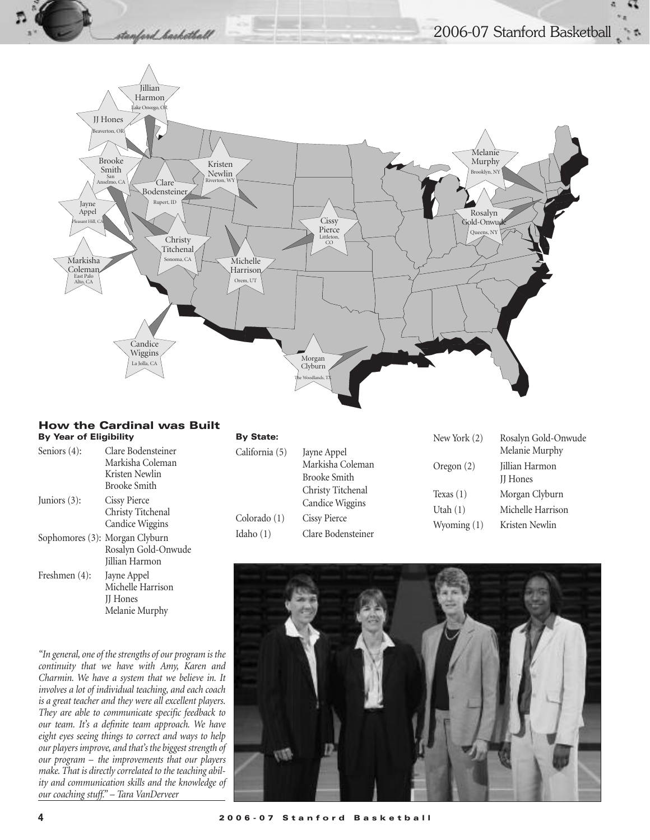



#### **How the Cardinal was Built By Year of Eligibility**

| <b>By Year of Eligibility</b> |                                                                             | <b>By State:</b>                              |                                                                                                                                             | New York (2)                               | Rosalyn Gold-Onwude                                   |
|-------------------------------|-----------------------------------------------------------------------------|-----------------------------------------------|---------------------------------------------------------------------------------------------------------------------------------------------|--------------------------------------------|-------------------------------------------------------|
| Seniors $(4)$ :               | Clare Bodensteiner<br>Markisha Coleman<br>Kristen Newlin                    | California (5)<br>Colorado (1)<br>Idaho $(1)$ | Jayne Appel<br>Markisha Coleman<br><b>Brooke Smith</b><br>Christy Titchenal<br>Candice Wiggins<br><b>Cissy Pierce</b><br>Clare Bodensteiner | Oregon $(2)$                               | Melanie Murphy<br>Jillian Harmon<br><b>II</b> Hones   |
| Juniors $(3)$ :               | <b>Brooke Smith</b><br>Cissy Pierce<br>Christy Titchenal<br>Candice Wiggins |                                               |                                                                                                                                             | Texas $(1)$<br>Utah $(1)$<br>Wyoming $(1)$ | Morgan Clyburn<br>Michelle Harrison<br>Kristen Newlin |
|                               | Sophomores (3): Morgan Clyburn<br>Rosalyn Gold-Onwude<br>Jillian Harmon     |                                               |                                                                                                                                             |                                            |                                                       |

*"In general, one of the strengths of our program is the continuity that we have with Amy, Karen and Charmin. We have a system that we believe in. It involves a lot of individual teaching, and each coach is a great teacher and they were all excellent players. They are able to communicate specific feedback to our team. It's a definite team approach. We have eight eyes seeing things to correct and ways to help our players improve, and that's the biggest strength of our program – the improvements that our players make. That is directly correlated to the teaching ability and communication skills and the knowledge of our coaching stuff." – Tara VanDerveer*

Michelle Harrison JJ Hones Melanie Murphy

Freshmen (4): Jayne Appel

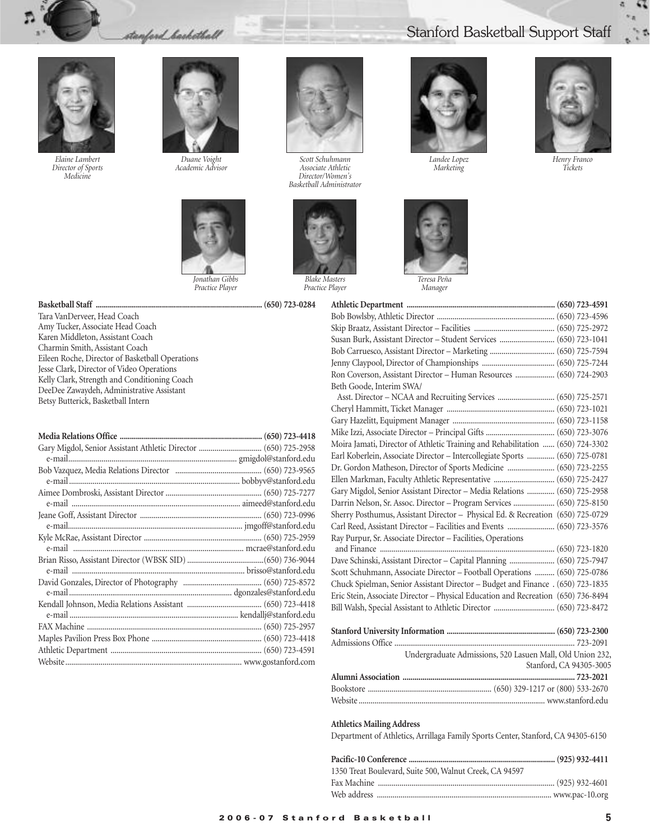stanford backetball



*Elaine Lambert Director of Sports Medicine*



*Duane Voight Academic Advisor*



*Practice Player*



*Scott Schuhmann Associate Athletic Director/Women's Basketball Administrator*



*Practice Player*

# Stanford Basketball Support Staff



*Landee Lopez Marketing*



*Manager*



*Henry Franco Tickets*

| Susan Burk, Assistant Director - Student Services  (650) 723-1041                 |  |
|-----------------------------------------------------------------------------------|--|
|                                                                                   |  |
|                                                                                   |  |
| Ron Coverson, Assistant Director - Human Resources  (650) 724-2903                |  |
| Beth Goode, Interim SWA/                                                          |  |
|                                                                                   |  |
|                                                                                   |  |
|                                                                                   |  |
|                                                                                   |  |
| Moira Jamati, Director of Athletic Training and Rehabilitation  (650) 724-3302    |  |
| Earl Koberlein, Associate Director - Intercollegiate Sports  (650) 725-0781       |  |
| Dr. Gordon Matheson, Director of Sports Medicine  (650) 723-2255                  |  |
|                                                                                   |  |
| Gary Migdol, Senior Assistant Director - Media Relations  (650) 725-2958          |  |
| Darrin Nelson, Sr. Assoc. Director - Program Services  (650) 725-8150             |  |
| Sherry Posthumus, Assistant Director - Physical Ed. & Recreation (650) 725-0729   |  |
| Carl Reed, Assistant Director - Facilities and Events  (650) 723-3576             |  |
| Ray Purpur, Sr. Associate Director - Facilities, Operations                       |  |
|                                                                                   |  |
| Dave Schinski, Assistant Director - Capital Planning  (650) 725-7947              |  |
| Scott Schuhmann, Associate Director - Football Operations  (650) 725-0786         |  |
| Chuck Spielman, Senior Assistant Director - Budget and Finance . (650) 723-1835   |  |
| Eric Stein, Associate Director - Physical Education and Recreation (650) 736-8494 |  |
|                                                                                   |  |
|                                                                                   |  |
|                                                                                   |  |
| Undergraduate Admissions, 520 Lasuen Mall, Old Union 232,                         |  |
| Stanford, CA 94305-3005                                                           |  |
|                                                                                   |  |

#### **Athletics Mailing Address**

Department of Athletics, Arrillaga Family Sports Center, Stanford, CA 94305-6150

Bookstore ............................................................... (650) 329-1217 or (800) 533-2670 Website ............................................................................................... www.stanford.edu

| 1350 Treat Boulevard, Suite 500, Walnut Creek, CA 94597 |  |
|---------------------------------------------------------|--|
|                                                         |  |
|                                                         |  |

#### **Basketball Staff ................................................................................... (650) 723-0284**

Tara VanDerveer, Head Coach Amy Tucker, Associate Head Coach Karen Middleton, Assistant Coach Charmin Smith, Assistant Coach Eileen Roche, Director of Basketball Operations Jesse Clark, Director of Video Operations Kelly Clark, Strength and Conditioning Coach DeeDee Zawaydeh, Administrative Assistant Betsy Butterick, Basketball Intern

| Gary Migdol, Senior Assistant Athletic Director  (650) 725-2958 |  |
|-----------------------------------------------------------------|--|
|                                                                 |  |
|                                                                 |  |
|                                                                 |  |
|                                                                 |  |
|                                                                 |  |
|                                                                 |  |
|                                                                 |  |
|                                                                 |  |
|                                                                 |  |
|                                                                 |  |
|                                                                 |  |
|                                                                 |  |
|                                                                 |  |
|                                                                 |  |
|                                                                 |  |
|                                                                 |  |
|                                                                 |  |
|                                                                 |  |
|                                                                 |  |